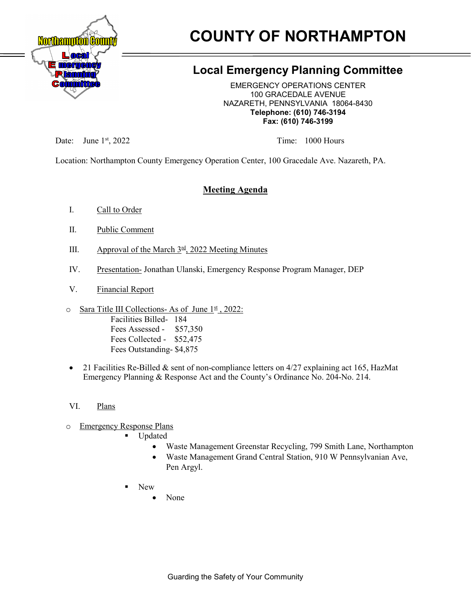

# **COUNTY OF NORTHAMPTON**

# **Local Emergency Planning Committee**

EMERGENCY OPERATIONS CENTER 100 GRACEDALE AVENUE NAZARETH, PENNSYLVANIA 18064-8430 **Telephone: (610) 746-3194 Fax: (610) 746-3199**

Date: June 1<sup>st</sup>, 2022 Time: 1000 Hours

Location: Northampton County Emergency Operation Center, 100 Gracedale Ave. Nazareth, PA.

# **Meeting Agenda**

- I. Call to Order
- II. Public Comment
- III. Approval of the March  $3<sup>rd</sup>$ , 2022 Meeting Minutes
- IV. Presentation- Jonathan Ulanski, Emergency Response Program Manager, DEP
- V. Financial Report
- $\circ$  Sara Title III Collections- As of June  $1<sup>st</sup>$ , 2022: Facilities Billed- 184 Fees Assessed - \$57,350 Fees Collected - \$52,475 Fees Outstanding- \$4,875
- 21 Facilities Re-Billed & sent of non-compliance letters on 4/27 explaining act 165, HazMat Emergency Planning & Response Act and the County's Ordinance No. 204-No. 214.
- VI. Plans
- o Emergency Response Plans
	- **Updated** 
		- Waste Management Greenstar Recycling, 799 Smith Lane, Northampton
		- Waste Management Grand Central Station, 910 W Pennsylvanian Ave, Pen Argyl.
	- New
		- None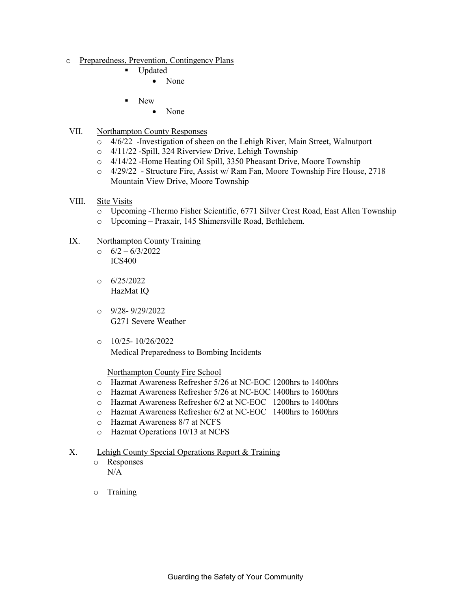- o <u>Preparedness, Prevention, Contingency Plans</u>
	- Updated
		- None
	- New
		- None
- VII. Northampton County Responses
	- o 4/6/22 -Investigation of sheen on the Lehigh River, Main Street, Walnutport
	- o 4/11/22 -Spill, 324 Riverview Drive, Lehigh Township
	- o 4/14/22 -Home Heating Oil Spill, 3350 Pheasant Drive, Moore Township
	- o 4/29/22 Structure Fire, Assist w/ Ram Fan, Moore Township Fire House, 2718 Mountain View Drive, Moore Township
- VIII. Site Visits
	- o Upcoming -Thermo Fisher Scientific, 6771 Silver Crest Road, East Allen Township
	- o Upcoming Praxair, 145 Shimersville Road, Bethlehem.
- IX. Northampton County Training
	- $\circ$  6/2 6/3/2022 ICS400
	- $O = 6/25/2022$ HazMat IQ
	- $O$  9/28-9/29/2022 G271 Severe Weather
	- $O$  10/25- 10/26/2022 Medical Preparedness to Bombing Incidents

#### Northampton County Fire School

- o Hazmat Awareness Refresher 5/26 at NC-EOC 1200hrs to 1400hrs
- o Hazmat Awareness Refresher 5/26 at NC-EOC 1400hrs to 1600hrs
- o Hazmat Awareness Refresher 6/2 at NC-EOC 1200hrs to 1400hrs
- o Hazmat Awareness Refresher 6/2 at NC-EOC 1400hrs to 1600hrs
- o Hazmat Awareness 8/7 at NCFS
- o Hazmat Operations 10/13 at NCFS

#### X. Lehigh County Special Operations Report & Training

- o Responses N/A
- o Training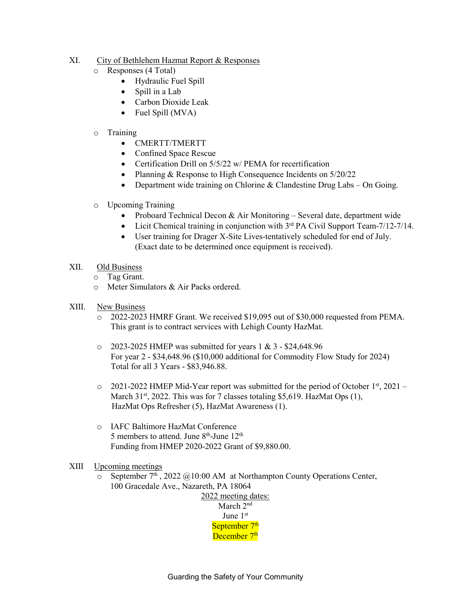#### XI. City of Bethlehem Hazmat Report & Responses

- o Responses (4 Total)
	- Hydraulic Fuel Spill
	- Spill in a Lab
	- Carbon Dioxide Leak
	- Fuel Spill (MVA)

#### o Training

- CMERTT/TMERTT
- Confined Space Rescue
- Certification Drill on 5/5/22 w/ PEMA for recertification
- Planning & Response to High Consequence Incidents on 5/20/22
- Department wide training on Chlorine & Clandestine Drug Labs On Going.
- o Upcoming Training
	- Proboard Technical Decon & Air Monitoring Several date, department wide
	- Licit Chemical training in conjunction with  $3<sup>rd</sup> PA$  Civil Support Team-7/12-7/14.
	- User training for Drager X-Site Lives-tentatively scheduled for end of July. (Exact date to be determined once equipment is received).
- XII. Old Business
	- o Tag Grant.
	- o Meter Simulators & Air Packs ordered.
- XIII. New Business
	- o 2022-2023 HMRF Grant. We received \$19,095 out of \$30,000 requested from PEMA. This grant is to contract services with Lehigh County HazMat.
	- $\degree$  2023-2025 HMEP was submitted for years 1 & 3 \$24,648.96 For year 2 - \$34,648.96 (\$10,000 additional for Commodity Flow Study for 2024) Total for all 3 Years - \$83,946.88.
	- $\circ$  2021-2022 HMEP Mid-Year report was submitted for the period of October 1<sup>st</sup>, 2021 March  $31<sup>st</sup>$ , 2022. This was for 7 classes totaling \$5,619. HazMat Ops (1), HazMat Ops Refresher (5), HazMat Awareness (1).
	- o IAFC Baltimore HazMat Conference 5 members to attend. June  $8<sup>th</sup>$ -June  $12<sup>th</sup>$ Funding from HMEP 2020-2022 Grant of \$9,880.00.

#### XIII Upcoming meetings

o September  $7<sup>th</sup>$ , 2022 @10:00 AM at Northampton County Operations Center, 100 Gracedale Ave., Nazareth, PA 18064

2022 meeting dates: March 2<sup>nd</sup> June 1st September 7<sup>th</sup> December 7<sup>th</sup>